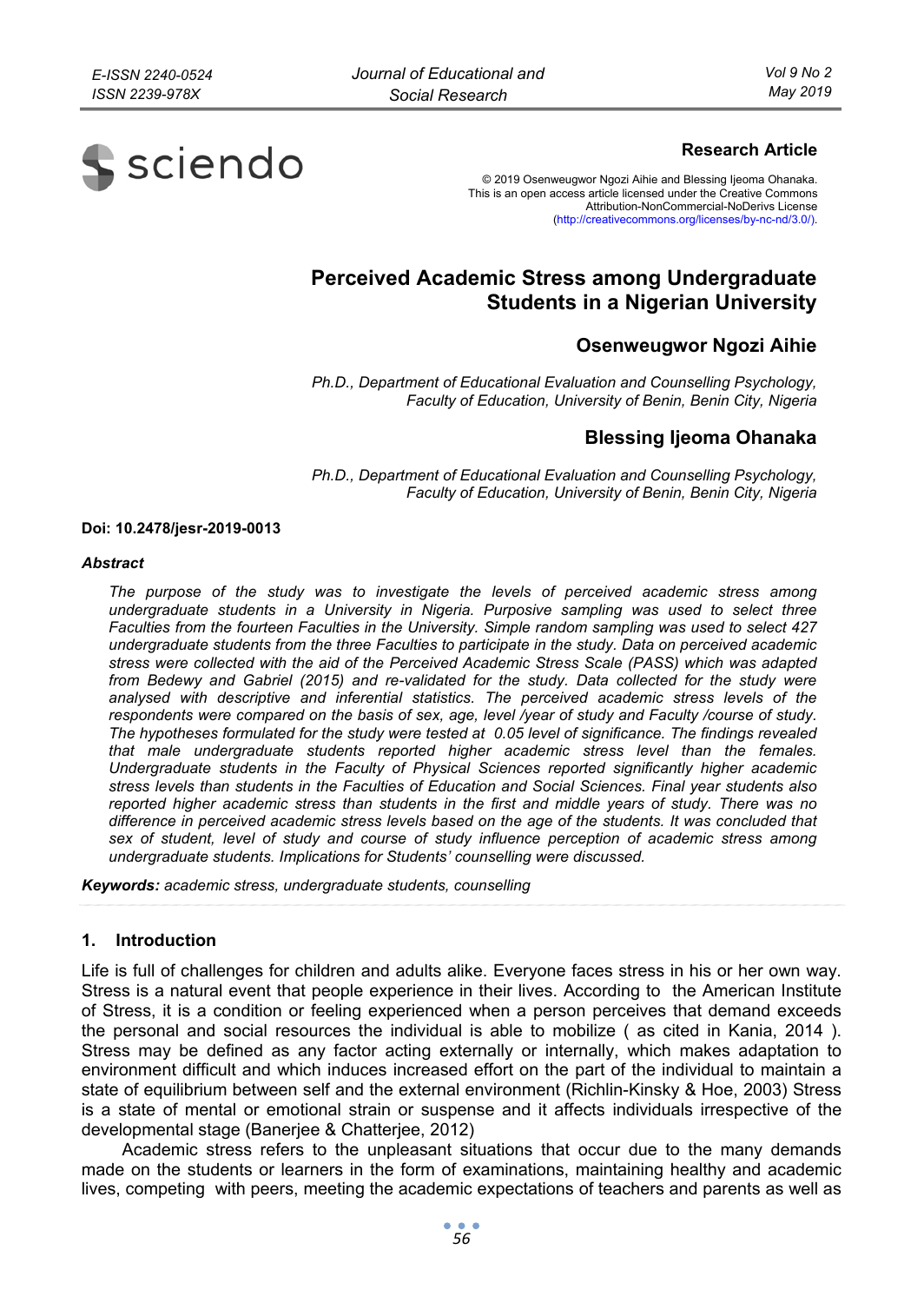

# **Research Article**

© 2019 Osenweugwor Ngozi Aihie and Blessing Ijeoma Ohanaka. This is an open access article licensed under the Creative Commons Attribution-NonCommercial-NoDerivs License (http://creativecommons.org/licenses/by-nc-nd/3.0/).

# **Perceived Academic Stress among Undergraduate Students in a Nigerian University**

# **Osenweugwor Ngozi Aihie**

*Ph.D., Department of Educational Evaluation and Counselling Psychology, Faculty of Education, University of Benin, Benin City, Nigeria* 

# **Blessing Ijeoma Ohanaka**

*Ph.D., Department of Educational Evaluation and Counselling Psychology, Faculty of Education, University of Benin, Benin City, Nigeria* 

#### **Doi: 10.2478/jesr-2019-0013**

#### *Abstract*

*The purpose of the study was to investigate the levels of perceived academic stress among undergraduate students in a University in Nigeria. Purposive sampling was used to select three Faculties from the fourteen Faculties in the University. Simple random sampling was used to select 427 undergraduate students from the three Faculties to participate in the study. Data on perceived academic stress were collected with the aid of the Perceived Academic Stress Scale (PASS) which was adapted*  from Bedewy and Gabriel (2015) and re-validated for the study. Data collected for the study were *analysed with descriptive and inferential statistics. The perceived academic stress levels of the respondents were compared on the basis of sex, age, level /year of study and Faculty /course of study. The hypotheses formulated for the study were tested at 0.05 level of significance. The findings revealed that male undergraduate students reported higher academic stress level than the females. Undergraduate students in the Faculty of Physical Sciences reported significantly higher academic stress levels than students in the Faculties of Education and Social Sciences. Final year students also reported higher academic stress than students in the first and middle years of study. There was no difference in perceived academic stress levels based on the age of the students. It was concluded that sex of student, level of study and course of study influence perception of academic stress among undergraduate students. Implications for Students' counselling were discussed.* 

*Keywords: academic stress, undergraduate students, counselling* 

#### **1. Introduction**

Life is full of challenges for children and adults alike. Everyone faces stress in his or her own way. Stress is a natural event that people experience in their lives. According to the American Institute of Stress, it is a condition or feeling experienced when a person perceives that demand exceeds the personal and social resources the individual is able to mobilize ( as cited in Kania, 2014 ). Stress may be defined as any factor acting externally or internally, which makes adaptation to environment difficult and which induces increased effort on the part of the individual to maintain a state of equilibrium between self and the external environment (Richlin-Kinsky & Hoe, 2003) Stress is a state of mental or emotional strain or suspense and it affects individuals irrespective of the developmental stage (Banerjee & Chatterjee, 2012)

Academic stress refers to the unpleasant situations that occur due to the many demands made on the students or learners in the form of examinations, maintaining healthy and academic lives, competing with peers, meeting the academic expectations of teachers and parents as well as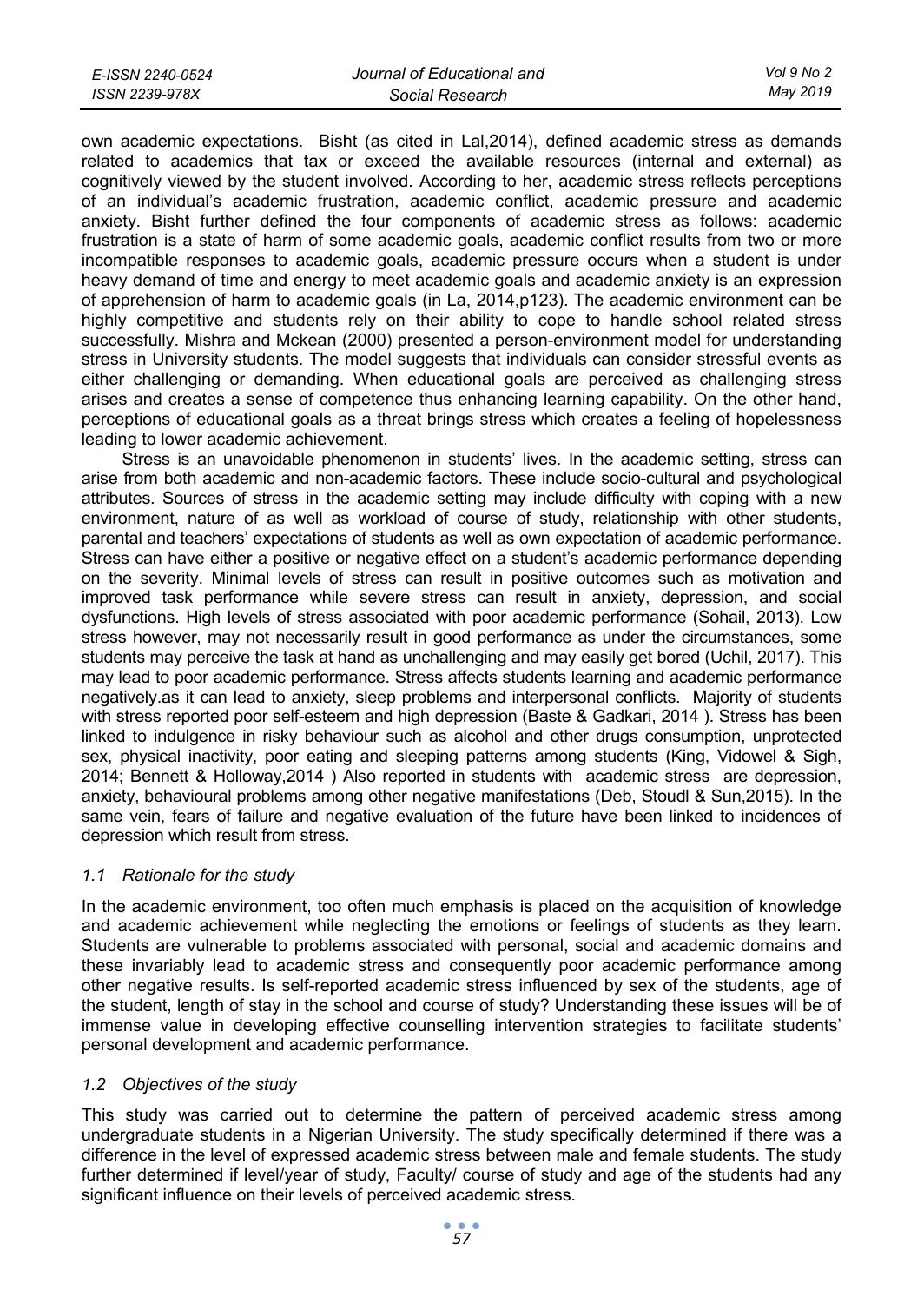| E-ISSN 2240-0524 | Journal of Educational and | Vol 9 No 2 |
|------------------|----------------------------|------------|
| ISSN 2239-978X   | Social Research            | Mav 2019   |

own academic expectations. Bisht (as cited in Lal,2014), defined academic stress as demands related to academics that tax or exceed the available resources (internal and external) as cognitively viewed by the student involved. According to her, academic stress reflects perceptions of an individual's academic frustration, academic conflict, academic pressure and academic anxiety. Bisht further defined the four components of academic stress as follows: academic frustration is a state of harm of some academic goals, academic conflict results from two or more incompatible responses to academic goals, academic pressure occurs when a student is under heavy demand of time and energy to meet academic goals and academic anxiety is an expression of apprehension of harm to academic goals (in La, 2014,p123). The academic environment can be highly competitive and students rely on their ability to cope to handle school related stress successfully. Mishra and Mckean (2000) presented a person-environment model for understanding stress in University students. The model suggests that individuals can consider stressful events as either challenging or demanding. When educational goals are perceived as challenging stress arises and creates a sense of competence thus enhancing learning capability. On the other hand, perceptions of educational goals as a threat brings stress which creates a feeling of hopelessness leading to lower academic achievement.

Stress is an unavoidable phenomenon in students' lives. In the academic setting, stress can arise from both academic and non-academic factors. These include socio-cultural and psychological attributes. Sources of stress in the academic setting may include difficulty with coping with a new environment, nature of as well as workload of course of study, relationship with other students, parental and teachers' expectations of students as well as own expectation of academic performance. Stress can have either a positive or negative effect on a student's academic performance depending on the severity. Minimal levels of stress can result in positive outcomes such as motivation and improved task performance while severe stress can result in anxiety, depression, and social dysfunctions. High levels of stress associated with poor academic performance (Sohail, 2013). Low stress however, may not necessarily result in good performance as under the circumstances, some students may perceive the task at hand as unchallenging and may easily get bored (Uchil, 2017). This may lead to poor academic performance. Stress affects students learning and academic performance negatively.as it can lead to anxiety, sleep problems and interpersonal conflicts. Majority of students with stress reported poor self-esteem and high depression (Baste & Gadkari, 2014 ). Stress has been linked to indulgence in risky behaviour such as alcohol and other drugs consumption, unprotected sex, physical inactivity, poor eating and sleeping patterns among students (King, Vidowel & Sigh, 2014; Bennett & Holloway,2014 ) Also reported in students with academic stress are depression, anxiety, behavioural problems among other negative manifestations (Deb, Stoudl & Sun,2015). In the same vein, fears of failure and negative evaluation of the future have been linked to incidences of depression which result from stress.

# *1.1 Rationale for the study*

In the academic environment, too often much emphasis is placed on the acquisition of knowledge and academic achievement while neglecting the emotions or feelings of students as they learn. Students are vulnerable to problems associated with personal, social and academic domains and these invariably lead to academic stress and consequently poor academic performance among other negative results. Is self-reported academic stress influenced by sex of the students, age of the student, length of stay in the school and course of study? Understanding these issues will be of immense value in developing effective counselling intervention strategies to facilitate students' personal development and academic performance.

# *1.2 Objectives of the study*

This study was carried out to determine the pattern of perceived academic stress among undergraduate students in a Nigerian University. The study specifically determined if there was a difference in the level of expressed academic stress between male and female students. The study further determined if level/year of study, Faculty/ course of study and age of the students had any significant influence on their levels of perceived academic stress.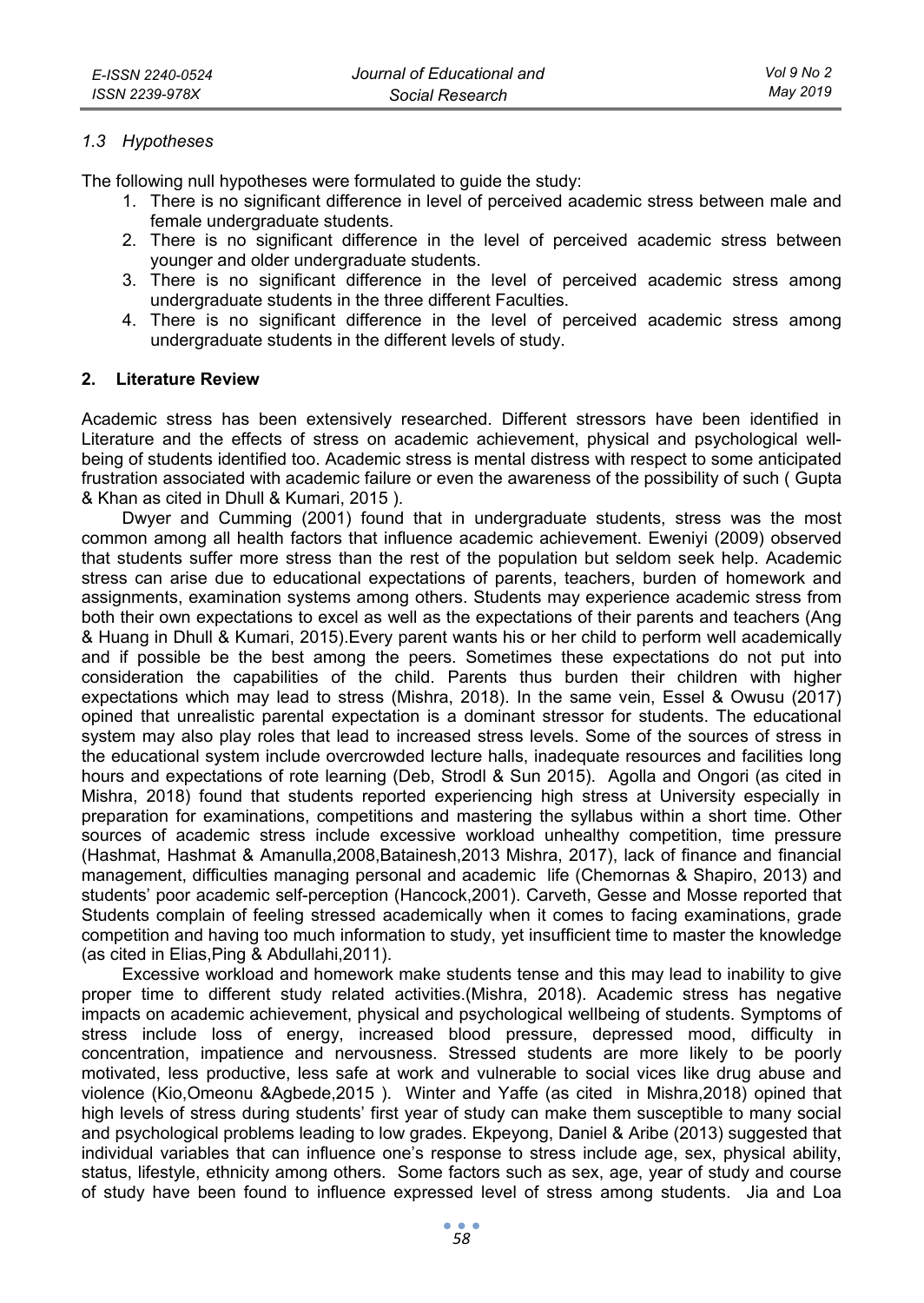#### *1.3 Hypotheses*

The following null hypotheses were formulated to guide the study:

- 1. There is no significant difference in level of perceived academic stress between male and female undergraduate students.
- 2. There is no significant difference in the level of perceived academic stress between younger and older undergraduate students.
- 3. There is no significant difference in the level of perceived academic stress among undergraduate students in the three different Faculties.
- 4. There is no significant difference in the level of perceived academic stress among undergraduate students in the different levels of study.

### **2. Literature Review**

Academic stress has been extensively researched. Different stressors have been identified in Literature and the effects of stress on academic achievement, physical and psychological wellbeing of students identified too. Academic stress is mental distress with respect to some anticipated frustration associated with academic failure or even the awareness of the possibility of such ( Gupta & Khan as cited in Dhull & Kumari, 2015 ).

Dwyer and Cumming (2001) found that in undergraduate students, stress was the most common among all health factors that influence academic achievement. Eweniyi (2009) observed that students suffer more stress than the rest of the population but seldom seek help. Academic stress can arise due to educational expectations of parents, teachers, burden of homework and assignments, examination systems among others. Students may experience academic stress from both their own expectations to excel as well as the expectations of their parents and teachers (Ang & Huang in Dhull & Kumari, 2015).Every parent wants his or her child to perform well academically and if possible be the best among the peers. Sometimes these expectations do not put into consideration the capabilities of the child. Parents thus burden their children with higher expectations which may lead to stress (Mishra, 2018). In the same vein, Essel & Owusu (2017) opined that unrealistic parental expectation is a dominant stressor for students. The educational system may also play roles that lead to increased stress levels. Some of the sources of stress in the educational system include overcrowded lecture halls, inadequate resources and facilities long hours and expectations of rote learning (Deb, Strodl & Sun 2015). Agolla and Ongori (as cited in Mishra, 2018) found that students reported experiencing high stress at University especially in preparation for examinations, competitions and mastering the syllabus within a short time. Other sources of academic stress include excessive workload unhealthy competition, time pressure (Hashmat, Hashmat & Amanulla,2008,Batainesh,2013 Mishra, 2017), lack of finance and financial management, difficulties managing personal and academic life (Chemornas & Shapiro, 2013) and students' poor academic self-perception (Hancock,2001). Carveth, Gesse and Mosse reported that Students complain of feeling stressed academically when it comes to facing examinations, grade competition and having too much information to study, yet insufficient time to master the knowledge (as cited in Elias,Ping & Abdullahi,2011).

Excessive workload and homework make students tense and this may lead to inability to give proper time to different study related activities.(Mishra, 2018). Academic stress has negative impacts on academic achievement, physical and psychological wellbeing of students. Symptoms of stress include loss of energy, increased blood pressure, depressed mood, difficulty in concentration, impatience and nervousness. Stressed students are more likely to be poorly motivated, less productive, less safe at work and vulnerable to social vices like drug abuse and violence (Kio,Omeonu &Agbede,2015 ). Winter and Yaffe (as cited in Mishra,2018) opined that high levels of stress during students' first year of study can make them susceptible to many social and psychological problems leading to low grades. Ekpeyong, Daniel & Aribe (2013) suggested that individual variables that can influence one's response to stress include age, sex, physical ability, status, lifestyle, ethnicity among others. Some factors such as sex, age, year of study and course of study have been found to influence expressed level of stress among students. Jia and Loa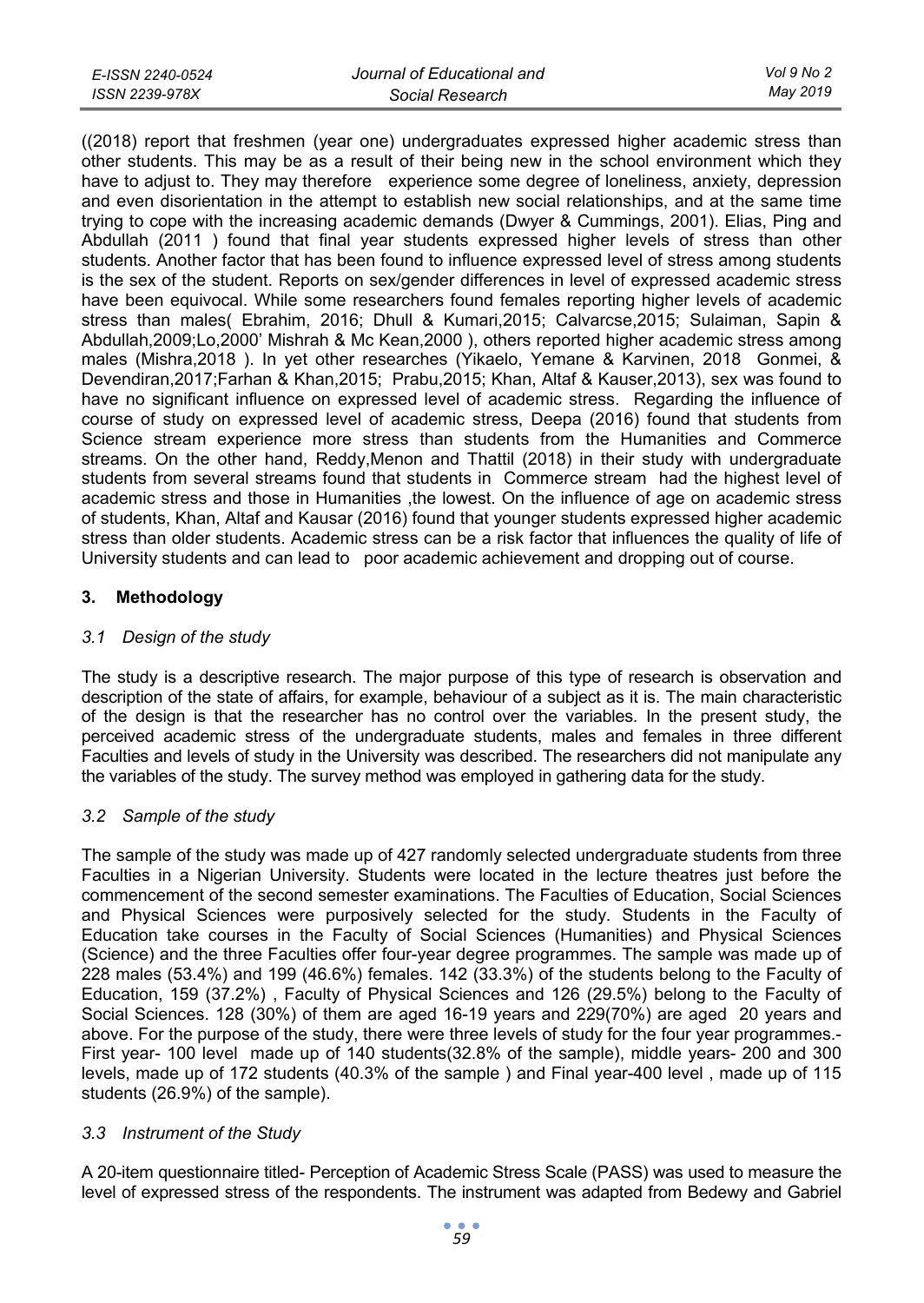| E-ISSN 2240-0524 | Journal of Educational and | Vol 9 No 2 |
|------------------|----------------------------|------------|
| ISSN 2239-978X   | Social Research            | May 2019   |

((2018) report that freshmen (year one) undergraduates expressed higher academic stress than other students. This may be as a result of their being new in the school environment which they have to adjust to. They may therefore experience some degree of loneliness, anxiety, depression and even disorientation in the attempt to establish new social relationships, and at the same time trying to cope with the increasing academic demands (Dwyer & Cummings, 2001). Elias, Ping and Abdullah (2011 ) found that final year students expressed higher levels of stress than other students. Another factor that has been found to influence expressed level of stress among students is the sex of the student. Reports on sex/gender differences in level of expressed academic stress have been equivocal. While some researchers found females reporting higher levels of academic stress than males( Ebrahim, 2016; Dhull & Kumari,2015; Calvarcse,2015; Sulaiman, Sapin & Abdullah,2009;Lo,2000' Mishrah & Mc Kean,2000 ), others reported higher academic stress among males (Mishra,2018 ). In yet other researches (Yikaelo, Yemane & Karvinen, 2018 Gonmei, & Devendiran,2017;Farhan & Khan,2015; Prabu,2015; Khan, Altaf & Kauser,2013), sex was found to have no significant influence on expressed level of academic stress. Regarding the influence of course of study on expressed level of academic stress, Deepa (2016) found that students from Science stream experience more stress than students from the Humanities and Commerce streams. On the other hand, Reddy,Menon and Thattil (2018) in their study with undergraduate students from several streams found that students in Commerce stream had the highest level of academic stress and those in Humanities ,the lowest. On the influence of age on academic stress of students, Khan, Altaf and Kausar (2016) found that younger students expressed higher academic stress than older students. Academic stress can be a risk factor that influences the quality of life of University students and can lead to poor academic achievement and dropping out of course.

# **3. Methodology**

# *3.1 Design of the study*

The study is a descriptive research. The major purpose of this type of research is observation and description of the state of affairs, for example, behaviour of a subject as it is. The main characteristic of the design is that the researcher has no control over the variables. In the present study, the perceived academic stress of the undergraduate students, males and females in three different Faculties and levels of study in the University was described. The researchers did not manipulate any the variables of the study. The survey method was employed in gathering data for the study.

# *3.2 Sample of the study*

The sample of the study was made up of 427 randomly selected undergraduate students from three Faculties in a Nigerian University. Students were located in the lecture theatres just before the commencement of the second semester examinations. The Faculties of Education, Social Sciences and Physical Sciences were purposively selected for the study. Students in the Faculty of Education take courses in the Faculty of Social Sciences (Humanities) and Physical Sciences (Science) and the three Faculties offer four-year degree programmes. The sample was made up of 228 males (53.4%) and 199 (46.6%) females. 142 (33.3%) of the students belong to the Faculty of Education, 159 (37.2%) , Faculty of Physical Sciences and 126 (29.5%) belong to the Faculty of Social Sciences. 128 (30%) of them are aged 16-19 years and 229(70%) are aged 20 years and above. For the purpose of the study, there were three levels of study for the four year programmes.- First year- 100 level made up of 140 students(32.8% of the sample), middle years- 200 and 300 levels, made up of 172 students (40.3% of the sample ) and Final year-400 level , made up of 115 students (26.9%) of the sample).

#### *3.3 Instrument of the Study*

A 20-item questionnaire titled- Perception of Academic Stress Scale (PASS) was used to measure the level of expressed stress of the respondents. The instrument was adapted from Bedewy and Gabriel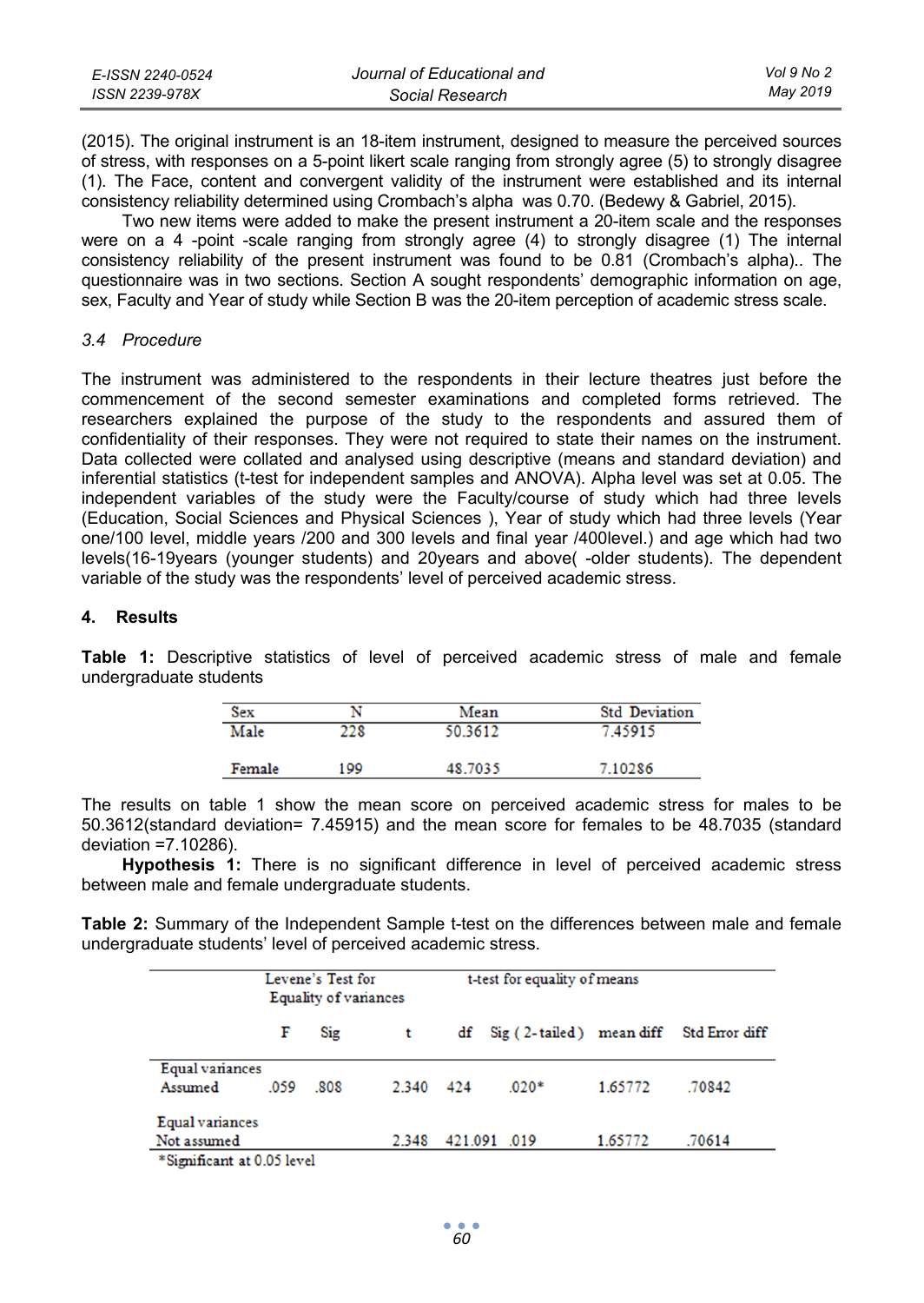| E-ISSN 2240-0524 | Journal of Educational and | Vol 9 No 2 |
|------------------|----------------------------|------------|
| ISSN 2239-978X   | Social Research            | Mav 2019   |

(2015). The original instrument is an 18-item instrument, designed to measure the perceived sources of stress, with responses on a 5-point likert scale ranging from strongly agree (5) to strongly disagree (1). The Face, content and convergent validity of the instrument were established and its internal consistency reliability determined using Crombach's alpha was 0.70. (Bedewy & Gabriel, 2015).

Two new items were added to make the present instrument a 20-item scale and the responses were on a 4 -point -scale ranging from strongly agree (4) to strongly disagree (1) The internal consistency reliability of the present instrument was found to be 0.81 (Crombach's alpha).. The questionnaire was in two sections. Section A sought respondents' demographic information on age, sex, Faculty and Year of study while Section B was the 20-item perception of academic stress scale.

#### *3.4 Procedure*

The instrument was administered to the respondents in their lecture theatres just before the commencement of the second semester examinations and completed forms retrieved. The researchers explained the purpose of the study to the respondents and assured them of confidentiality of their responses. They were not required to state their names on the instrument. Data collected were collated and analysed using descriptive (means and standard deviation) and inferential statistics (t-test for independent samples and ANOVA). Alpha level was set at 0.05. The independent variables of the study were the Faculty/course of study which had three levels (Education, Social Sciences and Physical Sciences ), Year of study which had three levels (Year one/100 level, middle years /200 and 300 levels and final year /400level.) and age which had two levels(16-19years (younger students) and 20years and above( -older students). The dependent variable of the study was the respondents' level of perceived academic stress.

### **4. Results**

**Table 1:** Descriptive statistics of level of perceived academic stress of male and female undergraduate students

| Sex    |     | Mean    | <b>Std Deviation</b> |
|--------|-----|---------|----------------------|
| Male   | 228 | 50.3612 | 7.45915              |
| Female | 199 | 48.7035 | 7.10286              |

The results on table 1 show the mean score on perceived academic stress for males to be 50.3612(standard deviation= 7.45915) and the mean score for females to be 48.7035 (standard deviation =7.10286).

**Hypothesis 1:** There is no significant difference in level of perceived academic stress between male and female undergraduate students.

**Table 2:** Summary of the Independent Sample t-test on the differences between male and female undergraduate students' level of perceived academic stress.

|                                | Levene's Test for<br>Equality of variances |     |       |     | t-test for equality of means |         |                |
|--------------------------------|--------------------------------------------|-----|-------|-----|------------------------------|---------|----------------|
|                                | F                                          | Sig |       |     | df Sig (2-tailed) mean diff  |         | Std Error diff |
| Equal variances<br>Assumed     | .059                                       | 808 | 2.340 | 424 | $.020*$                      | 1.65772 | .70842         |
| Equal variances<br>Not assumed |                                            |     | 2.348 |     | 421.091 .019                 | 1.65772 | .70614         |
| $*$ Sionificant at 0.05 level  |                                            |     |       |     |                              |         |                |

significant at 0.05 level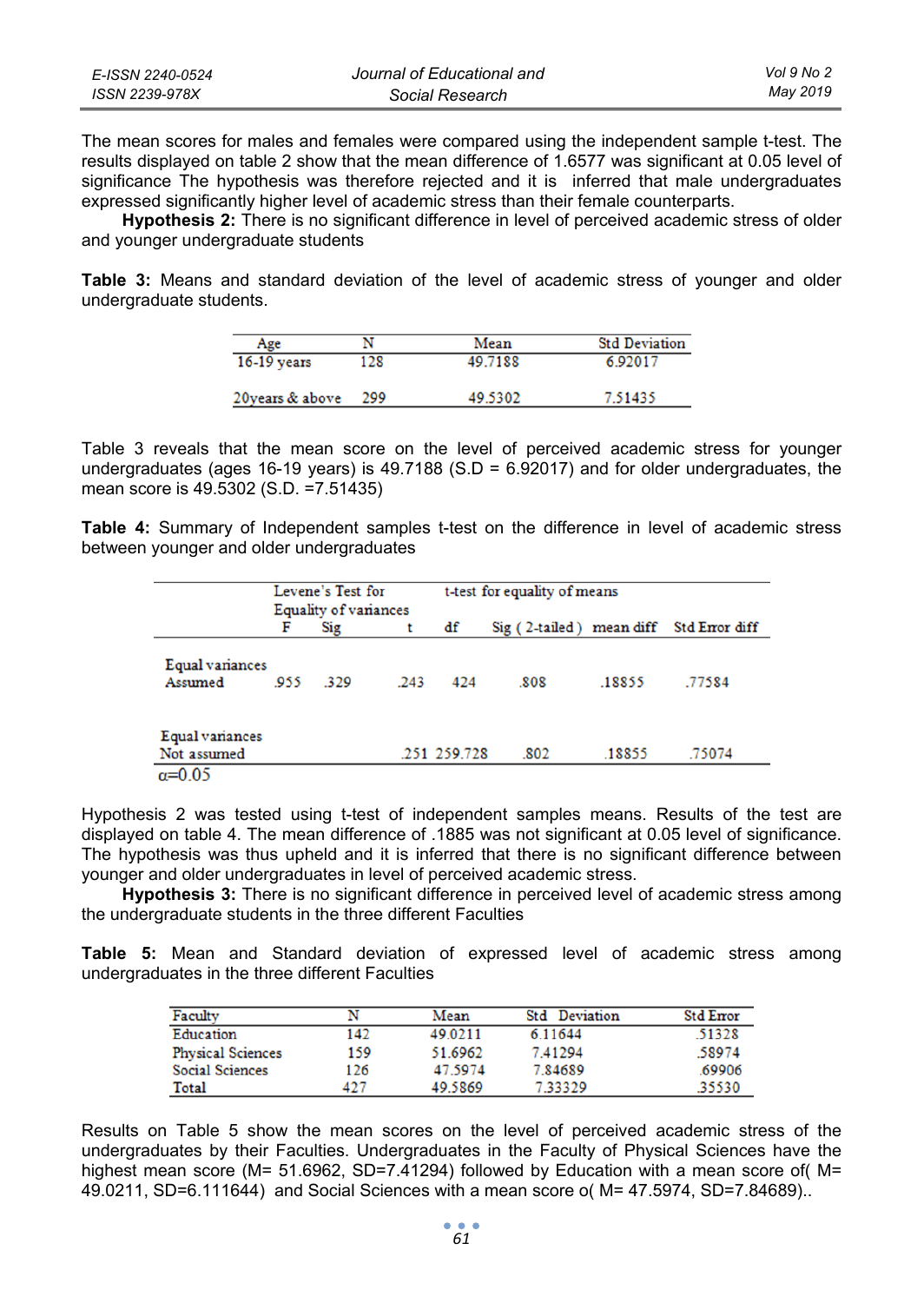| E-ISSN 2240-0524 | Journal of Educational and | Vol 9 No 2 |
|------------------|----------------------------|------------|
| ISSN 2239-978X   | Social Research            | Mav 2019   |

The mean scores for males and females were compared using the independent sample t-test. The results displayed on table 2 show that the mean difference of 1.6577 was significant at 0.05 level of significance The hypothesis was therefore rejected and it is inferred that male undergraduates expressed significantly higher level of academic stress than their female counterparts.

**Hypothesis 2:** There is no significant difference in level of perceived academic stress of older and younger undergraduate students

**Table 3:** Means and standard deviation of the level of academic stress of younger and older undergraduate students.

| Age              |     | Mean    | <b>Std Deviation</b> |
|------------------|-----|---------|----------------------|
| $16-19$ years    | 128 | 49.7188 | 6.92017              |
| 20 years & above | 299 | 49.5302 | 7.51435              |

Table 3 reveals that the mean score on the level of perceived academic stress for younger undergraduates (ages 16-19 years) is  $49.7188$  (S.D = 6.92017) and for older undergraduates, the mean score is 49.5302 (S.D. =7.51435)

**Table 4:** Summary of Independent samples t-test on the difference in level of academic stress between younger and older undergraduates

|                                | Levene's Test for |                       |      | t-test for equality of means |                                         |        |        |  |
|--------------------------------|-------------------|-----------------------|------|------------------------------|-----------------------------------------|--------|--------|--|
|                                |                   | Equality of variances |      |                              |                                         |        |        |  |
|                                | F                 | Sig                   |      | df                           | Sig (2-tailed) mean diff Std Error diff |        |        |  |
| Equal variances<br>Assumed     | .955              | 329                   | .243 | 424                          | .808                                    | .18855 | .77584 |  |
| Equal variances<br>Not assumed |                   |                       |      | .251 259.728                 | .802                                    | .18855 | .75074 |  |
| $\alpha=0.05$                  |                   |                       |      |                              |                                         |        |        |  |

Hypothesis 2 was tested using t-test of independent samples means. Results of the test are displayed on table 4. The mean difference of .1885 was not significant at 0.05 level of significance. The hypothesis was thus upheld and it is inferred that there is no significant difference between younger and older undergraduates in level of perceived academic stress.

**Hypothesis 3:** There is no significant difference in perceived level of academic stress among the undergraduate students in the three different Faculties

**Table 5:** Mean and Standard deviation of expressed level of academic stress among undergraduates in the three different Faculties

| Faculty                  |     | Mean    | <b>Std</b> Deviation | Std Error |
|--------------------------|-----|---------|----------------------|-----------|
| Education                | 142 | 49.0211 | 6.11644              | 51328     |
| <b>Physical Sciences</b> | 159 | 51.6962 | 7.41294              | 58974     |
| Social Sciences          | 126 | 47.5974 | 7.84689              | .69906    |
| Total                    | 427 | 49.5869 | 733329               | 35530     |

Results on Table 5 show the mean scores on the level of perceived academic stress of the undergraduates by their Faculties. Undergraduates in the Faculty of Physical Sciences have the highest mean score (M= 51.6962, SD=7.41294) followed by Education with a mean score of( M= 49.0211, SD=6.111644) and Social Sciences with a mean score o( M= 47.5974, SD=7.84689)..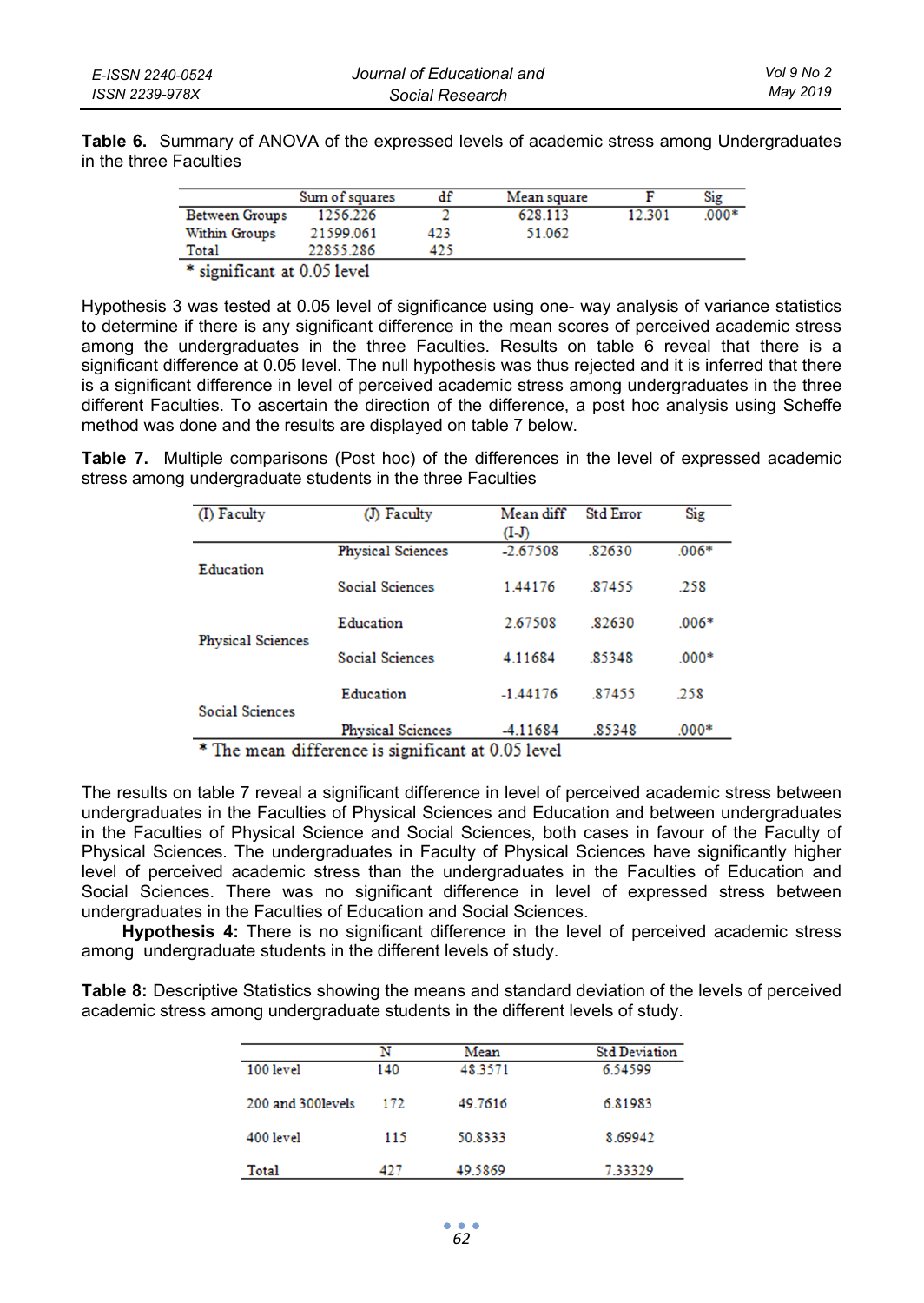| Table 6. Summary of ANOVA of the expressed levels of academic stress among Undergraduates |  |  |  |  |  |
|-------------------------------------------------------------------------------------------|--|--|--|--|--|
| in the three Faculties                                                                    |  |  |  |  |  |

|                       | Sum of squares | df  | Mean square |        | Sig     |
|-----------------------|----------------|-----|-------------|--------|---------|
| <b>Between Groups</b> | 1256.226       |     | 628 113     | 12.301 | $.000*$ |
| <b>Within Groups</b>  | 21599.061      | 423 | 51.062      |        |         |
| Total                 | 22855.286      | 425 |             |        |         |
|                       |                |     |             |        |         |

\* significant at 0.05 level

Hypothesis 3 was tested at 0.05 level of significance using one- way analysis of variance statistics to determine if there is any significant difference in the mean scores of perceived academic stress among the undergraduates in the three Faculties. Results on table 6 reveal that there is a significant difference at 0.05 level. The null hypothesis was thus rejected and it is inferred that there is a significant difference in level of perceived academic stress among undergraduates in the three different Faculties. To ascertain the direction of the difference, a post hoc analysis using Scheffe method was done and the results are displayed on table 7 below.

**Table 7.** Multiple comparisons (Post hoc) of the differences in the level of expressed academic stress among undergraduate students in the three Faculties

| (I) Faculty              | (J) Faculty              | Mean diff                                      | <b>Std Error</b> | Sig     |
|--------------------------|--------------------------|------------------------------------------------|------------------|---------|
|                          |                          | $(I-J)$                                        |                  |         |
| Education                | <b>Physical Sciences</b> | $-2.67508$                                     | .82630           | $.006*$ |
|                          | <b>Social Sciences</b>   | 1.44176                                        | 87455            | .258    |
|                          | Education                | 2.67508                                        | 82630            | $.006*$ |
| <b>Physical Sciences</b> | <b>Social Sciences</b>   | 4.11684                                        | 85348            | $.000*$ |
| <b>Social Sciences</b>   | Education                | $-1.44176$                                     | 87455            | .258    |
| $-$<br>41.OO             | <b>Physical Sciences</b> | -4.11684<br>$\mathbf{r}$ . A case $\mathbf{r}$ | .85348           | $.000*$ |

\* The mean difference is significant at 0.05 level

The results on table 7 reveal a significant difference in level of perceived academic stress between undergraduates in the Faculties of Physical Sciences and Education and between undergraduates in the Faculties of Physical Science and Social Sciences, both cases in favour of the Faculty of Physical Sciences. The undergraduates in Faculty of Physical Sciences have significantly higher level of perceived academic stress than the undergraduates in the Faculties of Education and Social Sciences. There was no significant difference in level of expressed stress between undergraduates in the Faculties of Education and Social Sciences.

**Hypothesis 4:** There is no significant difference in the level of perceived academic stress among undergraduate students in the different levels of study.

**Table 8:** Descriptive Statistics showing the means and standard deviation of the levels of perceived academic stress among undergraduate students in the different levels of study.

|                    | N   | Mean    | <b>Std Deviation</b> |
|--------------------|-----|---------|----------------------|
| 100 level          | 140 | 48.3571 | 6.54599              |
| 200 and 300 levels | 172 | 49.7616 | 6.81983              |
| 400 level          | 115 | 50.8333 | 8.69942              |
| Total              | 427 | 49.5869 | 7.33329              |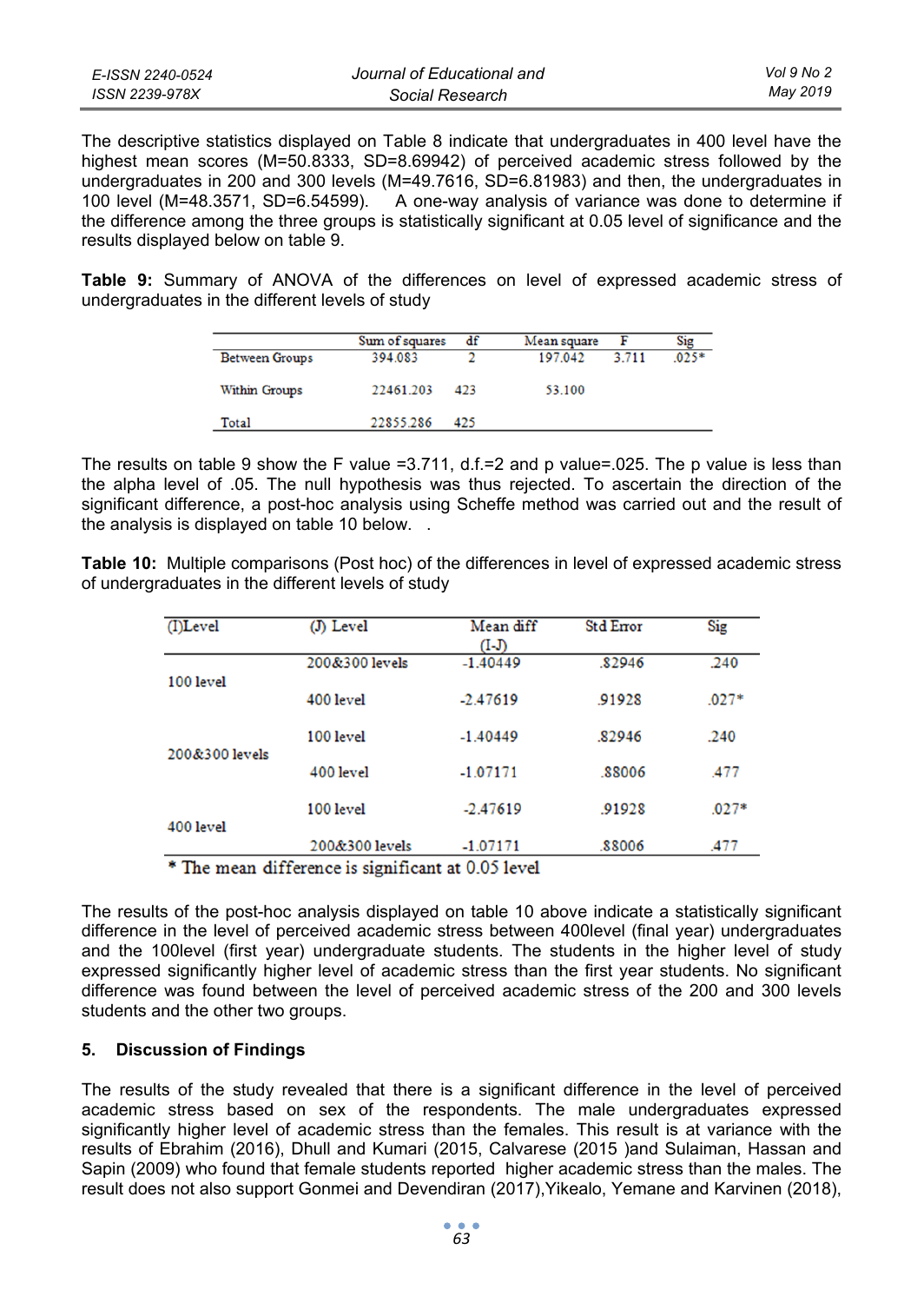| E-ISSN 2240-0524 | Journal of Educational and | Vol 9 No 2 |
|------------------|----------------------------|------------|
| ISSN 2239-978X   | Social Research            | May 2019   |

The descriptive statistics displayed on Table 8 indicate that undergraduates in 400 level have the highest mean scores (M=50.8333, SD=8.69942) of perceived academic stress followed by the undergraduates in 200 and 300 levels (M=49.7616, SD=6.81983) and then, the undergraduates in 100 level (M=48.3571, SD=6.54599). A one-way analysis of variance was done to determine if the difference among the three groups is statistically significant at 0.05 level of significance and the results displayed below on table 9.

**Table 9:** Summary of ANOVA of the differences on level of expressed academic stress of undergraduates in the different levels of study

|                       | Sum of squares | df  | Mean square |       | Sig    |
|-----------------------|----------------|-----|-------------|-------|--------|
| <b>Between Groups</b> | 394.083        |     | 197.042     | 3.711 | $025*$ |
| Within Groups         | 22461.203      | 423 | 53.100      |       |        |
| Total                 | 22855.286      | 425 |             |       |        |

The results on table 9 show the F value =3.711, d.f.=2 and p value=.025. The p value is less than the alpha level of .05. The null hypothesis was thus rejected. To ascertain the direction of the significant difference, a post-hoc analysis using Scheffe method was carried out and the result of the analysis is displayed on table 10 below. .

**Table 10:** Multiple comparisons (Post hoc) of the differences in level of expressed academic stress of undergraduates in the different levels of study

| (I)Level       | (J) Level                                          | Mean diff<br>(I-J) | <b>Std Error</b> | Sig     |
|----------------|----------------------------------------------------|--------------------|------------------|---------|
| 100 level      | 200&300 levels                                     | $-1.40449$         | 82946            | .240    |
|                | 400 level                                          | $-2.47619$         | .91928           | $.027*$ |
| 200&300 levels | 100 level                                          | $-1.40449$         | .82946           | .240    |
|                | 400 level                                          | $-1.07171$         | .88006           | .477    |
| 400 level      | 100 level                                          | $-2.47619$         | .91928           | $.027*$ |
|                | 200&300 levels                                     | $-1.07171$         | .88006           | .477    |
|                | * The mean difference is significant at 0.05 level |                    |                  |         |

The results of the post-hoc analysis displayed on table 10 above indicate a statistically significant difference in the level of perceived academic stress between 400level (final year) undergraduates and the 100level (first year) undergraduate students. The students in the higher level of study expressed significantly higher level of academic stress than the first year students. No significant difference was found between the level of perceived academic stress of the 200 and 300 levels students and the other two groups.

# **5. Discussion of Findings**

The results of the study revealed that there is a significant difference in the level of perceived academic stress based on sex of the respondents. The male undergraduates expressed significantly higher level of academic stress than the females. This result is at variance with the results of Ebrahim (2016), Dhull and Kumari (2015, Calvarese (2015 )and Sulaiman, Hassan and Sapin (2009) who found that female students reported higher academic stress than the males. The result does not also support Gonmei and Devendiran (2017),Yikealo, Yemane and Karvinen (2018),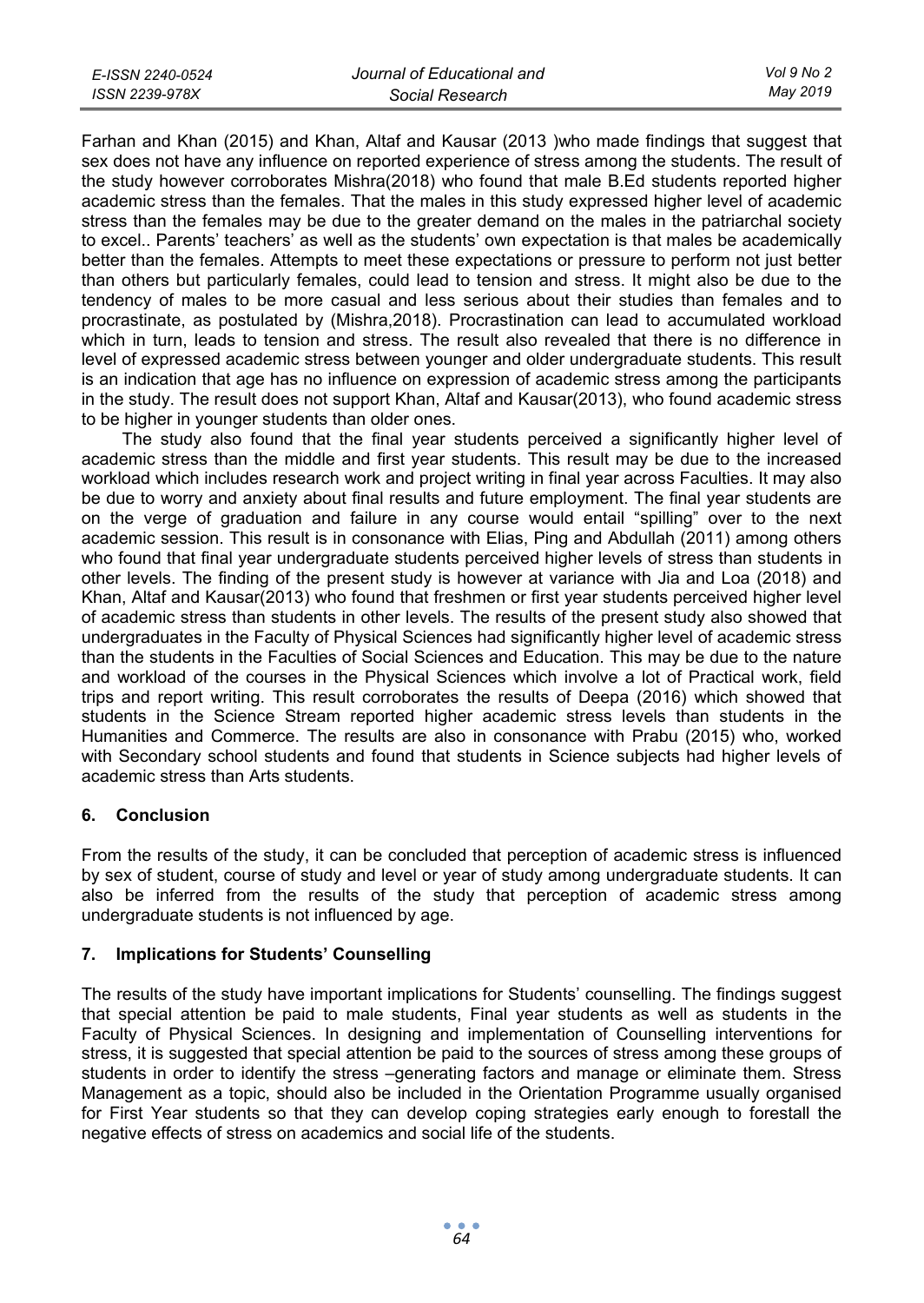| E-ISSN 2240-0524 | Journal of Educational and | Vol 9 No 2 |
|------------------|----------------------------|------------|
| ISSN 2239-978X   | Social Research            | May 2019   |

Farhan and Khan (2015) and Khan, Altaf and Kausar (2013 )who made findings that suggest that sex does not have any influence on reported experience of stress among the students. The result of the study however corroborates Mishra(2018) who found that male B.Ed students reported higher academic stress than the females. That the males in this study expressed higher level of academic stress than the females may be due to the greater demand on the males in the patriarchal society to excel.. Parents' teachers' as well as the students' own expectation is that males be academically better than the females. Attempts to meet these expectations or pressure to perform not just better than others but particularly females, could lead to tension and stress. It might also be due to the tendency of males to be more casual and less serious about their studies than females and to procrastinate, as postulated by (Mishra,2018). Procrastination can lead to accumulated workload which in turn, leads to tension and stress. The result also revealed that there is no difference in level of expressed academic stress between younger and older undergraduate students. This result is an indication that age has no influence on expression of academic stress among the participants in the study. The result does not support Khan, Altaf and Kausar(2013), who found academic stress to be higher in younger students than older ones.

The study also found that the final year students perceived a significantly higher level of academic stress than the middle and first year students. This result may be due to the increased workload which includes research work and project writing in final year across Faculties. It may also be due to worry and anxiety about final results and future employment. The final year students are on the verge of graduation and failure in any course would entail "spilling" over to the next academic session. This result is in consonance with Elias, Ping and Abdullah (2011) among others who found that final year undergraduate students perceived higher levels of stress than students in other levels. The finding of the present study is however at variance with Jia and Loa (2018) and Khan, Altaf and Kausar(2013) who found that freshmen or first year students perceived higher level of academic stress than students in other levels. The results of the present study also showed that undergraduates in the Faculty of Physical Sciences had significantly higher level of academic stress than the students in the Faculties of Social Sciences and Education. This may be due to the nature and workload of the courses in the Physical Sciences which involve a lot of Practical work, field trips and report writing. This result corroborates the results of Deepa (2016) which showed that students in the Science Stream reported higher academic stress levels than students in the Humanities and Commerce. The results are also in consonance with Prabu (2015) who, worked with Secondary school students and found that students in Science subjects had higher levels of academic stress than Arts students.

# **6. Conclusion**

From the results of the study, it can be concluded that perception of academic stress is influenced by sex of student, course of study and level or year of study among undergraduate students. It can also be inferred from the results of the study that perception of academic stress among undergraduate students is not influenced by age.

# **7. Implications for Students' Counselling**

The results of the study have important implications for Students' counselling. The findings suggest that special attention be paid to male students, Final year students as well as students in the Faculty of Physical Sciences. In designing and implementation of Counselling interventions for stress, it is suggested that special attention be paid to the sources of stress among these groups of students in order to identify the stress –generating factors and manage or eliminate them. Stress Management as a topic, should also be included in the Orientation Programme usually organised for First Year students so that they can develop coping strategies early enough to forestall the negative effects of stress on academics and social life of the students.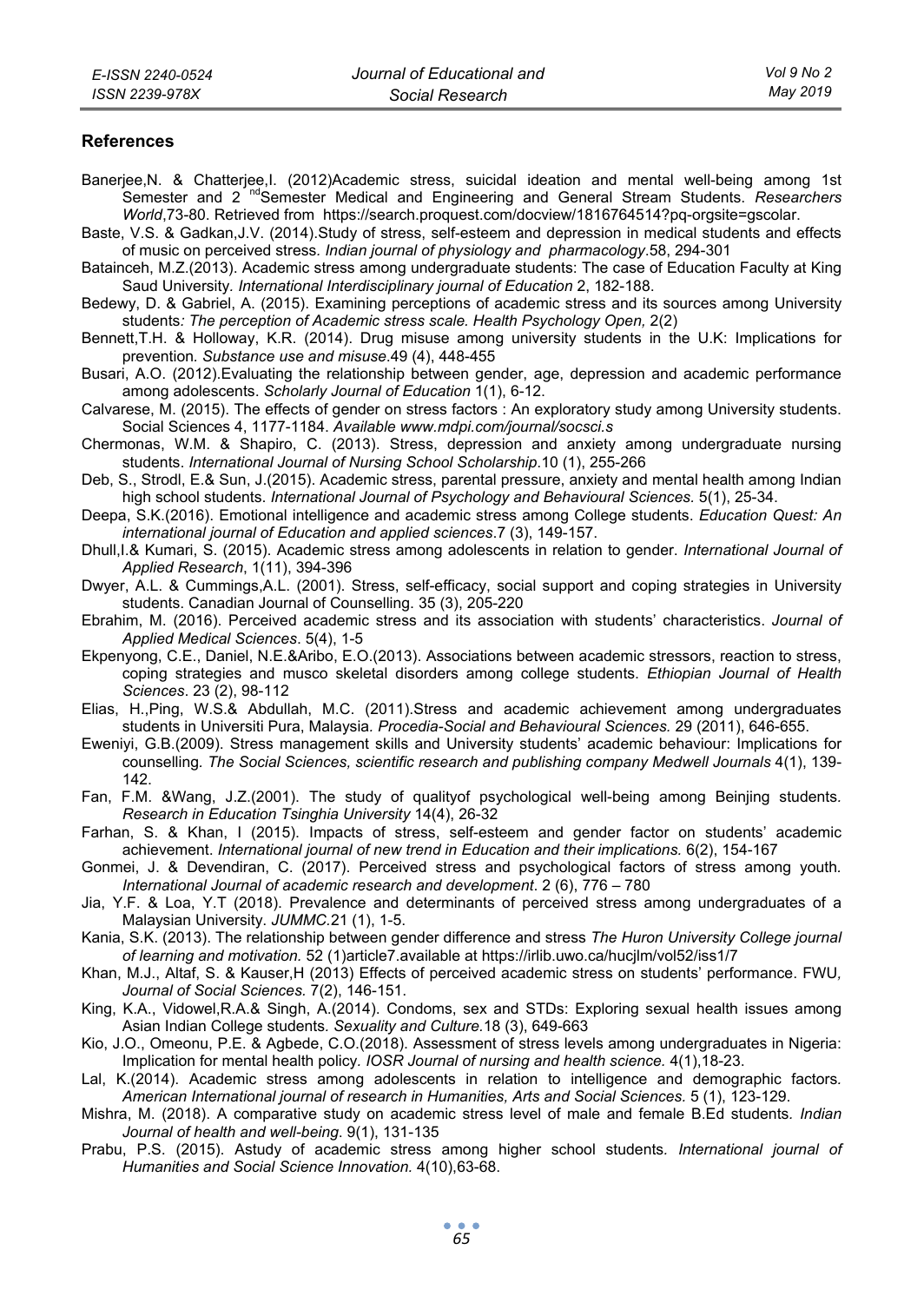#### **References**

- Banerjee,N. & Chatterjee,I. (2012)Academic stress, suicidal ideation and mental well-being among 1st Semester and 2<sup>'nd</sup>Semester Medical and Engineering and General Stream Students. *Researchers World*,73-80. Retrieved from https://search.proquest.com/docview/1816764514?pq-orgsite=gscolar.
- Baste, V.S. & Gadkan,J.V. (2014).Study of stress, self-esteem and depression in medical students and effects of music on perceived stress*. Indian journal of physiology and pharmacology*.58, 294-301
- Batainceh, M.Z.(2013). Academic stress among undergraduate students: The case of Education Faculty at King Saud University*. International Interdisciplinary journal of Education* 2, 182-188.
- Bedewy, D. & Gabriel, A. (2015). Examining perceptions of academic stress and its sources among University students: The perception of Academic stress scale. Health Psychology Open, 2(2)
- Bennett,T.H. & Holloway, K.R. (2014). Drug misuse among university students in the U.K: Implications for prevention*. Substance use and misuse*.49 (4), 448-455
- Busari, A.O. (2012).Evaluating the relationship between gender, age, depression and academic performance among adolescents. *Scholarly Journal of Education* 1(1), 6-12.
- Calvarese, M. (2015). The effects of gender on stress factors : An exploratory study among University students. Social Sciences 4, 1177-1184. *Available www.mdpi.com/journal/socsci.s*
- Chermonas, W.M. & Shapiro, C. (2013). Stress, depression and anxiety among undergraduate nursing students. *International Journal of Nursing School Scholarship*.10 (1), 255-266
- Deb, S., Strodl, E.& Sun, J.(2015). Academic stress, parental pressure, anxiety and mental health among Indian high school students. *International Journal of Psychology and Behavioural Sciences.* 5(1), 25-34.
- Deepa, S.K.(2016). Emotional intelligence and academic stress among College students. *Education Quest: An international journal of Education and applied sciences*.7 (3), 149-157.
- Dhull,I.& Kumari, S. (2015). Academic stress among adolescents in relation to gender. *International Journal of Applied Research*, 1(11), 394-396
- Dwyer, A.L. & Cummings,A.L. (2001). Stress, self-efficacy, social support and coping strategies in University students. Canadian Journal of Counselling. 35 (3), 205-220
- Ebrahim, M. (2016). Perceived academic stress and its association with students' characteristics. *Journal of Applied Medical Sciences*. 5(4), 1-5
- Ekpenyong, C.E., Daniel, N.E.&Aribo, E.O.(2013). Associations between academic stressors, reaction to stress, coping strategies and musco skeletal disorders among college students. *Ethiopian Journal of Health Sciences*. 23 (2), 98-112
- Elias, H.,Ping, W.S.& Abdullah, M.C. (2011).Stress and academic achievement among undergraduates students in Universiti Pura, Malaysia*. Procedia-Social and Behavioural Sciences.* 29 (2011), 646-655.
- Eweniyi, G.B.(2009). Stress management skills and University students' academic behaviour: Implications for counselling*. The Social Sciences, scientific research and publishing company Medwell Journals* 4(1), 139- 142.
- Fan, F.M. &Wang, J.Z.(2001). The study of qualityof psychological well-being among Beinjing students*. Research in Education Tsinghia University* 14(4), 26-32
- Farhan, S. & Khan, I (2015). Impacts of stress, self-esteem and gender factor on students' academic achievement. *International journal of new trend in Education and their implications.* 6(2), 154-167
- Gonmei, J. & Devendiran, C. (2017). Perceived stress and psychological factors of stress among youth*. International Journal of academic research and development*. 2 (6), 776 – 780
- Jia, Y.F. & Loa, Y.T (2018). Prevalence and determinants of perceived stress among undergraduates of a Malaysian University. *JUMMC.*21 (1), 1-5.
- Kania, S.K. (2013). The relationship between gender difference and stress *The Huron University College journal of learning and motivation.* 52 (1)article7.available at https://irlib.uwo.ca/hucjlm/vol52/iss1/7
- Khan, M.J., Altaf, S. & Kauser,H (2013) Effects of perceived academic stress on students' performance. FWU*, Journal of Social Sciences.* 7(2), 146-151.
- King, K.A., Vidowel,R.A.& Singh, A.(2014). Condoms, sex and STDs: Exploring sexual health issues among Asian Indian College students*. Sexuality and Culture.*18 (3), 649-663
- Kio, J.O., Omeonu, P.E. & Agbede, C.O.(2018). Assessment of stress levels among undergraduates in Nigeria: Implication for mental health policy*. IOSR Journal of nursing and health science.* 4(1),18-23.
- Lal, K.(2014). Academic stress among adolescents in relation to intelligence and demographic factors*. American International journal of research in Humanities, Arts and Social Sciences.* 5 (1), 123-129.
- Mishra, M. (2018). A comparative study on academic stress level of male and female B.Ed students*. Indian Journal of health and well-being*. 9(1), 131-135
- Prabu, P.S. (2015). Astudy of academic stress among higher school students*. International journal of Humanities and Social Science Innovation.* 4(10),63-68.